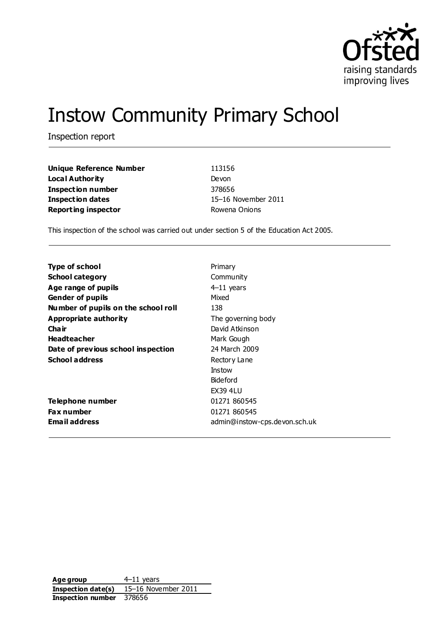

# Instow Community Primary School

Inspection report

| <b>Unique Reference Number</b> | 113156              |
|--------------------------------|---------------------|
| Local Authority                | Devon               |
| Inspection number              | 378656              |
| Inspection dates               | 15-16 November 2011 |
| <b>Reporting inspector</b>     | Rowena Onions       |

This inspection of the school was carried out under section 5 of the Education Act 2005.

| Primary                       |
|-------------------------------|
| Community                     |
| $4-11$ years                  |
| Mixed                         |
| 138                           |
| The governing body            |
| David Atkinson                |
| Mark Gough                    |
| 24 March 2009                 |
| Rectory Lane                  |
| Instow                        |
| Bideford                      |
| <b>EX39 4LU</b>               |
| 01271 860545                  |
| 01271 860545                  |
| admin@instow-cps.devon.sch.uk |
|                               |

**Age group** 4–11 years **Inspection date(s)** 15–16 November 2011 **Inspection number** 378656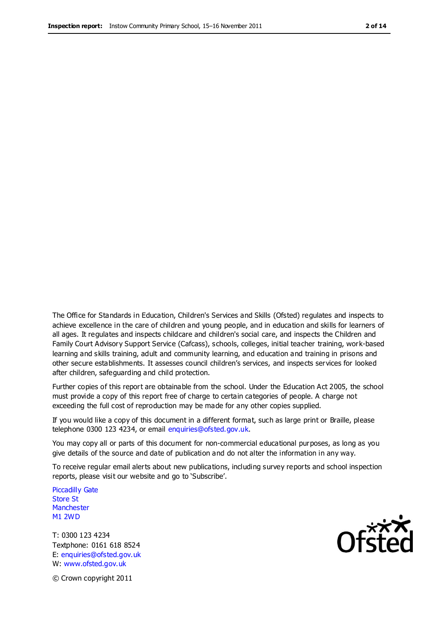The Office for Standards in Education, Children's Services and Skills (Ofsted) regulates and inspects to achieve excellence in the care of children and young people, and in education and skills for learners of all ages. It regulates and inspects childcare and children's social care, and inspects the Children and Family Court Advisory Support Service (Cafcass), schools, colleges, initial teacher training, work-based learning and skills training, adult and community learning, and education and training in prisons and other secure establishments. It assesses council children's services, and inspects services for looked after children, safeguarding and child protection.

Further copies of this report are obtainable from the school. Under the Education Act 2005, the school must provide a copy of this report free of charge to certain categories of people. A charge not exceeding the full cost of reproduction may be made for any other copies supplied.

If you would like a copy of this document in a different format, such as large print or Braille, please telephone 0300 123 4234, or email enquiries@ofsted.gov.uk.

You may copy all or parts of this document for non-commercial educational purposes, as long as you give details of the source and date of publication and do not alter the information in any way.

To receive regular email alerts about new publications, including survey reports and school inspection reports, please visit our website and go to 'Subscribe'.

Piccadilly Gate Store St **Manchester** M1 2WD

T: 0300 123 4234 Textphone: 0161 618 8524 E: enquiries@ofsted.gov.uk W: www.ofsted.gov.uk

Ofsted

© Crown copyright 2011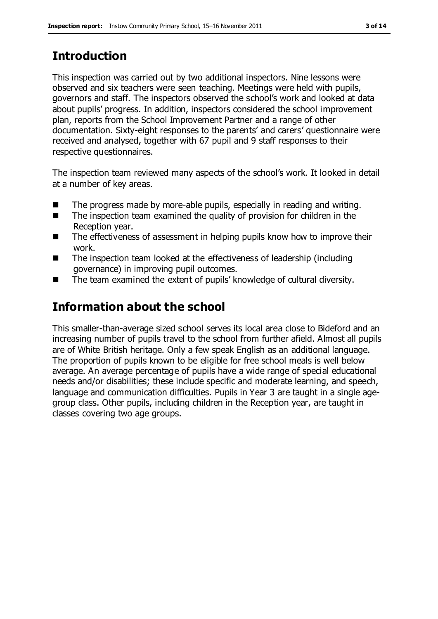# **Introduction**

This inspection was carried out by two additional inspectors. Nine lessons were observed and six teachers were seen teaching. Meetings were held with pupils, governors and staff. The inspectors observed the school's work and looked at data about pupils' progress. In addition, inspectors considered the school improvement plan, reports from the School Improvement Partner and a range of other documentation. Sixty-eight responses to the parents' and carers' questionnaire were received and analysed, together with 67 pupil and 9 staff responses to their respective questionnaires.

The inspection team reviewed many aspects of the school's work. It looked in detail at a number of key areas.

- The progress made by more-able pupils, especially in reading and writing.
- The inspection team examined the quality of provision for children in the Reception year.
- The effectiveness of assessment in helping pupils know how to improve their work.
- The inspection team looked at the effectiveness of leadership (including governance) in improving pupil outcomes.
- The team examined the extent of pupils' knowledge of cultural diversity.

# **Information about the school**

This smaller-than-average sized school serves its local area close to Bideford and an increasing number of pupils travel to the school from further afield. Almost all pupils are of White British heritage. Only a few speak English as an additional language. The proportion of pupils known to be eligible for free school meals is well below average. An average percentage of pupils have a wide range of special educational needs and/or disabilities; these include specific and moderate learning, and speech, language and communication difficulties. Pupils in Year 3 are taught in a single agegroup class. Other pupils, including children in the Reception year, are taught in classes covering two age groups.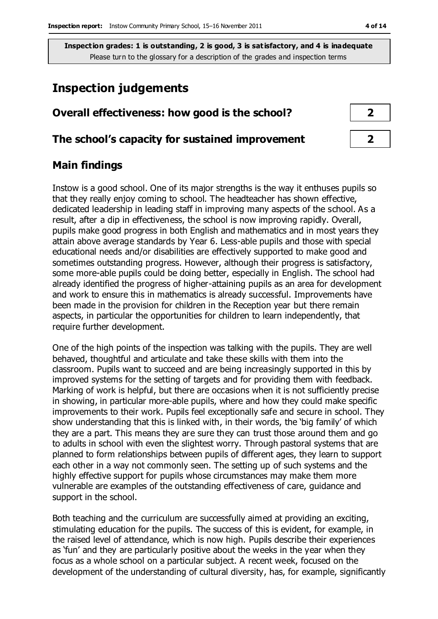## **Inspection judgements**

# **Overall effectiveness: how good is the school? 2**

#### **The school's capacity for sustained improvement 2**

#### **Main findings**

Instow is a good school. One of its major strengths is the way it enthuses pupils so that they really enjoy coming to school. The headteacher has shown effective, dedicated leadership in leading staff in improving many aspects of the school. As a result, after a dip in effectiveness, the school is now improving rapidly. Overall, pupils make good progress in both English and mathematics and in most years they attain above average standards by Year 6. Less-able pupils and those with special educational needs and/or disabilities are effectively supported to make good and sometimes outstanding progress. However, although their progress is satisfactory, some more-able pupils could be doing better, especially in English. The school had already identified the progress of higher-attaining pupils as an area for development and work to ensure this in mathematics is already successful. Improvements have been made in the provision for children in the Reception year but there remain aspects, in particular the opportunities for children to learn independently, that require further development.

One of the high points of the inspection was talking with the pupils. They are well behaved, thoughtful and articulate and take these skills with them into the classroom. Pupils want to succeed and are being increasingly supported in this by improved systems for the setting of targets and for providing them with feedback. Marking of work is helpful, but there are occasions when it is not sufficiently precise in showing, in particular more-able pupils, where and how they could make specific improvements to their work. Pupils feel exceptionally safe and secure in school. They show understanding that this is linked with, in their words, the 'big family' of which they are a part. This means they are sure they can trust those around them and go to adults in school with even the slightest worry. Through pastoral systems that are planned to form relationships between pupils of different ages, they learn to support each other in a way not commonly seen. The setting up of such systems and the highly effective support for pupils whose circumstances may make them more vulnerable are examples of the outstanding effectiveness of care, guidance and support in the school.

Both teaching and the curriculum are successfully aimed at providing an exciting, stimulating education for the pupils. The success of this is evident, for example, in the raised level of attendance, which is now high. Pupils describe their experiences as 'fun' and they are particularly positive about the weeks in the year when they focus as a whole school on a particular subject. A recent week, focused on the development of the understanding of cultural diversity, has, for example, significantly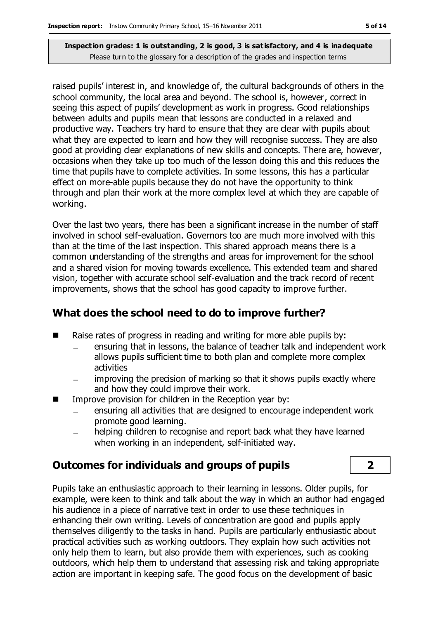raised pupils' interest in, and knowledge of, the cultural backgrounds of others in the school community, the local area and beyond. The school is, however, correct in seeing this aspect of pupils' development as work in progress. Good relationships between adults and pupils mean that lessons are conducted in a relaxed and productive way. Teachers try hard to ensure that they are clear with pupils about what they are expected to learn and how they will recognise success. They are also good at providing clear explanations of new skills and concepts. There are, however, occasions when they take up too much of the lesson doing this and this reduces the time that pupils have to complete activities. In some lessons, this has a particular effect on more-able pupils because they do not have the opportunity to think through and plan their work at the more complex level at which they are capable of working.

Over the last two years, there has been a significant increase in the number of staff involved in school self-evaluation. Governors too are much more involved with this than at the time of the last inspection. This shared approach means there is a common understanding of the strengths and areas for improvement for the school and a shared vision for moving towards excellence. This extended team and shared vision, together with accurate school self-evaluation and the track record of recent improvements, shows that the school has good capacity to improve further.

## **What does the school need to do to improve further?**

- $\blacksquare$  Raise rates of progress in reading and writing for more able pupils by:
	- ensuring that in lessons, the balance of teacher talk and independent work allows pupils sufficient time to both plan and complete more complex activities
	- improving the precision of marking so that it shows pupils exactly where and how they could improve their work.
- **IMPROVE PROVISION FOR CHILD FORM** In the Reception year by:
	- ensuring all activities that are designed to encourage independent work promote good learning.
	- helping children to recognise and report back what they have learned when working in an independent, self-initiated way.

### **Outcomes for individuals and groups of pupils 2**

Pupils take an enthusiastic approach to their learning in lessons. Older pupils, for example, were keen to think and talk about the way in which an author had engaged his audience in a piece of narrative text in order to use these techniques in enhancing their own writing. Levels of concentration are good and pupils apply themselves diligently to the tasks in hand. Pupils are particularly enthusiastic about practical activities such as working outdoors. They explain how such activities not only help them to learn, but also provide them with experiences, such as cooking outdoors, which help them to understand that assessing risk and taking appropriate action are important in keeping safe. The good focus on the development of basic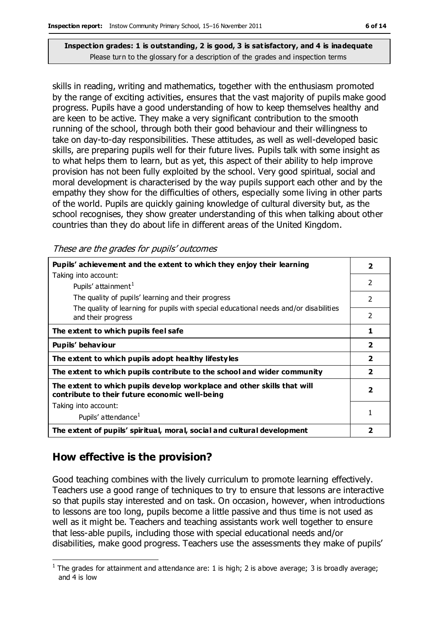skills in reading, writing and mathematics, together with the enthusiasm promoted by the range of exciting activities, ensures that the vast majority of pupils make good progress. Pupils have a good understanding of how to keep themselves healthy and are keen to be active. They make a very significant contribution to the smooth running of the school, through both their good behaviour and their willingness to take on day-to-day responsibilities. These attitudes, as well as well-developed basic skills, are preparing pupils well for their future lives. Pupils talk with some insight as to what helps them to learn, but as yet, this aspect of their ability to help improve provision has not been fully exploited by the school. Very good spiritual, social and moral development is characterised by the way pupils support each other and by the empathy they show for the difficulties of others, especially some living in other parts of the world. Pupils are quickly gaining knowledge of cultural diversity but, as the school recognises, they show greater understanding of this when talking about other countries than they do about life in different areas of the United Kingdom.

These are the grades for pupils' outcomes

| Pupils' achievement and the extent to which they enjoy their learning                                                     |                          |  |
|---------------------------------------------------------------------------------------------------------------------------|--------------------------|--|
| Taking into account:                                                                                                      |                          |  |
| Pupils' attainment <sup>1</sup>                                                                                           | $\mathcal{P}$            |  |
| The quality of pupils' learning and their progress                                                                        | 2                        |  |
| The quality of learning for pupils with special educational needs and/or disabilities<br>and their progress               | $\overline{\phantom{a}}$ |  |
| The extent to which pupils feel safe                                                                                      | 1                        |  |
| Pupils' behaviour                                                                                                         | $\overline{\mathbf{2}}$  |  |
| The extent to which pupils adopt healthy lifestyles                                                                       | $\overline{\mathbf{2}}$  |  |
| The extent to which pupils contribute to the school and wider community                                                   |                          |  |
| The extent to which pupils develop workplace and other skills that will<br>contribute to their future economic well-being |                          |  |
| Taking into account:                                                                                                      |                          |  |
| Pupils' attendance <sup>1</sup>                                                                                           |                          |  |
| The extent of pupils' spiritual, moral, social and cultural development                                                   | 2                        |  |

## **How effective is the provision?**

Good teaching combines with the lively curriculum to promote learning effectively. Teachers use a good range of techniques to try to ensure that lessons are interactive so that pupils stay interested and on task. On occasion, however, when introductions to lessons are too long, pupils become a little passive and thus time is not used as well as it might be. Teachers and teaching assistants work well together to ensure that less-able pupils, including those with special educational needs and/or disabilities, make good progress. Teachers use the assessments they make of pupils'

 $\overline{a}$ <sup>1</sup> The grades for attainment and attendance are: 1 is high; 2 is above average; 3 is broadly average; and 4 is low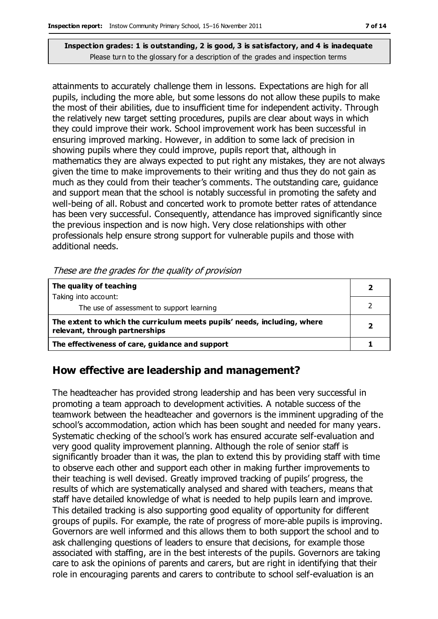attainments to accurately challenge them in lessons. Expectations are high for all pupils, including the more able, but some lessons do not allow these pupils to make the most of their abilities, due to insufficient time for independent activity. Through the relatively new target setting procedures, pupils are clear about ways in which they could improve their work. School improvement work has been successful in ensuring improved marking. However, in addition to some lack of precision in showing pupils where they could improve, pupils report that, although in mathematics they are always expected to put right any mistakes, they are not always given the time to make improvements to their writing and thus they do not gain as much as they could from their teacher's comments. The outstanding care, guidance and support mean that the school is notably successful in promoting the safety and well-being of all. Robust and concerted work to promote better rates of attendance has been very successful. Consequently, attendance has improved significantly since the previous inspection and is now high. Very close relationships with other professionals help ensure strong support for vulnerable pupils and those with additional needs.

These are the grades for the quality of provision

| The quality of teaching                                                                                    |  |
|------------------------------------------------------------------------------------------------------------|--|
| Taking into account:                                                                                       |  |
| The use of assessment to support learning                                                                  |  |
| The extent to which the curriculum meets pupils' needs, including, where<br>relevant, through partnerships |  |
| The effectiveness of care, guidance and support                                                            |  |

### **How effective are leadership and management?**

The headteacher has provided strong leadership and has been very successful in promoting a team approach to development activities. A notable success of the teamwork between the headteacher and governors is the imminent upgrading of the school's accommodation, action which has been sought and needed for many years. Systematic checking of the school's work has ensured accurate self-evaluation and very good quality improvement planning. Although the role of senior staff is significantly broader than it was, the plan to extend this by providing staff with time to observe each other and support each other in making further improvements to their teaching is well devised. Greatly improved tracking of pupils' progress, the results of which are systematically analysed and shared with teachers, means that staff have detailed knowledge of what is needed to help pupils learn and improve. This detailed tracking is also supporting good equality of opportunity for different groups of pupils. For example, the rate of progress of more-able pupils is improving. Governors are well informed and this allows them to both support the school and to ask challenging questions of leaders to ensure that decisions, for example those associated with staffing, are in the best interests of the pupils. Governors are taking care to ask the opinions of parents and carers, but are right in identifying that their role in encouraging parents and carers to contribute to school self-evaluation is an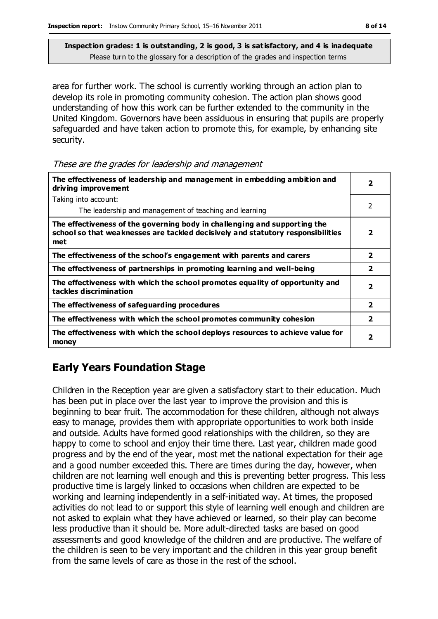area for further work. The school is currently working through an action plan to develop its role in promoting community cohesion. The action plan shows good understanding of how this work can be further extended to the community in the United Kingdom. Governors have been assiduous in ensuring that pupils are properly safeguarded and have taken action to promote this, for example, by enhancing site security.

| The effectiveness of leadership and management in embedding ambition and<br>driving improvement                                                                     |                          |
|---------------------------------------------------------------------------------------------------------------------------------------------------------------------|--------------------------|
| Taking into account:                                                                                                                                                |                          |
| The leadership and management of teaching and learning                                                                                                              | 2                        |
| The effectiveness of the governing body in challenging and supporting the<br>school so that weaknesses are tackled decisively and statutory responsibilities<br>met | $\overline{\phantom{a}}$ |
| The effectiveness of the school's engagement with parents and carers                                                                                                | $\overline{\mathbf{2}}$  |
| The effectiveness of partnerships in promoting learning and well-being                                                                                              | $\overline{2}$           |
| The effectiveness with which the school promotes equality of opportunity and<br>tackles discrimination                                                              | $\overline{2}$           |
| The effectiveness of safeguarding procedures                                                                                                                        | $\overline{2}$           |
| The effectiveness with which the school promotes community cohesion                                                                                                 | $\overline{\mathbf{2}}$  |
| The effectiveness with which the school deploys resources to achieve value for<br>money                                                                             | $\overline{\mathbf{2}}$  |

## **Early Years Foundation Stage**

Children in the Reception year are given a satisfactory start to their education. Much has been put in place over the last year to improve the provision and this is beginning to bear fruit. The accommodation for these children, although not always easy to manage, provides them with appropriate opportunities to work both inside and outside. Adults have formed good relationships with the children, so they are happy to come to school and enjoy their time there. Last year, children made good progress and by the end of the year, most met the national expectation for their age and a good number exceeded this. There are times during the day, however, when children are not learning well enough and this is preventing better progress. This less productive time is largely linked to occasions when children are expected to be working and learning independently in a self-initiated way. At times, the proposed activities do not lead to or support this style of learning well enough and children are not asked to explain what they have achieved or learned, so their play can become less productive than it should be. More adult-directed tasks are based on good assessments and good knowledge of the children and are productive. The welfare of the children is seen to be very important and the children in this year group benefit from the same levels of care as those in the rest of the school.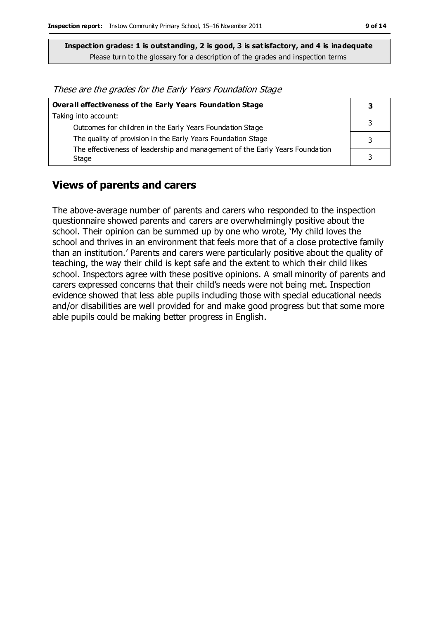These are the grades for the Early Years Foundation Stage

| Overall effectiveness of the Early Years Foundation Stage                    |  |  |
|------------------------------------------------------------------------------|--|--|
| Taking into account:                                                         |  |  |
| Outcomes for children in the Early Years Foundation Stage                    |  |  |
| The quality of provision in the Early Years Foundation Stage                 |  |  |
| The effectiveness of leadership and management of the Early Years Foundation |  |  |
| Stage                                                                        |  |  |

#### **Views of parents and carers**

The above-average number of parents and carers who responded to the inspection questionnaire showed parents and carers are overwhelmingly positive about the school. Their opinion can be summed up by one who wrote, 'My child loves the school and thrives in an environment that feels more that of a close protective family than an institution.' Parents and carers were particularly positive about the quality of teaching, the way their child is kept safe and the extent to which their child likes school. Inspectors agree with these positive opinions. A small minority of parents and carers expressed concerns that their child's needs were not being met. Inspection evidence showed that less able pupils including those with special educational needs and/or disabilities are well provided for and make good progress but that some more able pupils could be making better progress in English.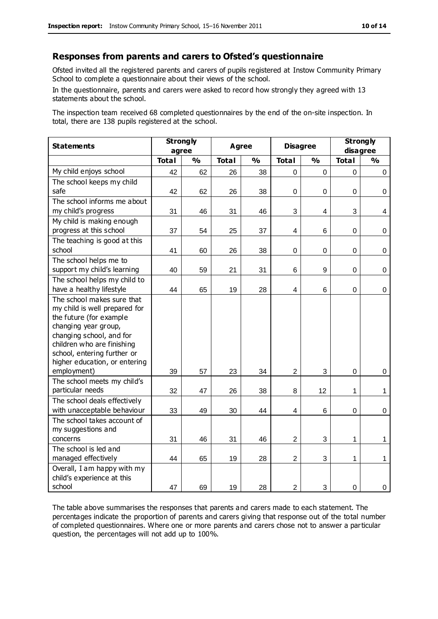#### **Responses from parents and carers to Ofsted's questionnaire**

Ofsted invited all the registered parents and carers of pupils registered at Instow Community Primary School to complete a questionnaire about their views of the school.

In the questionnaire, parents and carers were asked to record how strongly they agreed with 13 statements about the school.

The inspection team received 68 completed questionnaires by the end of the on-site inspection. In total, there are 138 pupils registered at the school.

| <b>Statements</b>                                                                                                                                                                                                                                       | <b>Strongly</b><br>Agree<br>agree |               | <b>Disagree</b> |               | <b>Strongly</b><br>disagree |               |              |               |
|---------------------------------------------------------------------------------------------------------------------------------------------------------------------------------------------------------------------------------------------------------|-----------------------------------|---------------|-----------------|---------------|-----------------------------|---------------|--------------|---------------|
|                                                                                                                                                                                                                                                         | <b>Total</b>                      | $\frac{0}{0}$ | <b>Total</b>    | $\frac{1}{2}$ | <b>Total</b>                | $\frac{0}{0}$ | <b>Total</b> | $\frac{0}{0}$ |
| My child enjoys school                                                                                                                                                                                                                                  | 42                                | 62            | 26              | 38            | 0                           | $\Omega$      | 0            | $\mathbf 0$   |
| The school keeps my child<br>safe                                                                                                                                                                                                                       | 42                                | 62            | 26              | 38            | $\mathsf 0$                 | $\mathbf 0$   | $\mathbf 0$  | $\mathbf 0$   |
| The school informs me about<br>my child's progress                                                                                                                                                                                                      | 31                                | 46            | 31              | 46            | 3                           | 4             | 3            | 4             |
| My child is making enough<br>progress at this school                                                                                                                                                                                                    | 37                                | 54            | 25              | 37            | 4                           | 6             | 0            | 0             |
| The teaching is good at this<br>school                                                                                                                                                                                                                  | 41                                | 60            | 26              | 38            | 0                           | $\mathbf 0$   | 0            | 0             |
| The school helps me to<br>support my child's learning                                                                                                                                                                                                   | 40                                | 59            | 21              | 31            | 6                           | 9             | $\mathsf 0$  | $\mathbf 0$   |
| The school helps my child to<br>have a healthy lifestyle                                                                                                                                                                                                | 44                                | 65            | 19              | 28            | $\overline{\mathbf{4}}$     | 6             | $\mathbf 0$  | $\pmb{0}$     |
| The school makes sure that<br>my child is well prepared for<br>the future (for example<br>changing year group,<br>changing school, and for<br>children who are finishing<br>school, entering further or<br>higher education, or entering<br>employment) | 39                                | 57            | 23              | 34            | $\overline{2}$              | 3             | 0            | $\mathbf 0$   |
| The school meets my child's<br>particular needs                                                                                                                                                                                                         | 32                                | 47            | 26              | 38            | 8                           | 12            | 1            | $\mathbf{1}$  |
| The school deals effectively<br>with unacceptable behaviour                                                                                                                                                                                             | 33                                | 49            | 30              | 44            | 4                           | 6             | 0            | 0             |
| The school takes account of<br>my suggestions and<br>concerns                                                                                                                                                                                           | 31                                | 46            | 31              | 46            | $\overline{c}$              | 3             | 1            | $\mathbf 1$   |
| The school is led and<br>managed effectively                                                                                                                                                                                                            | 44                                | 65            | 19              | 28            | $\overline{2}$              | 3             | 1            | $\mathbf{1}$  |
| Overall, I am happy with my<br>child's experience at this<br>school                                                                                                                                                                                     | 47                                | 69            | 19              | 28            | $\overline{2}$              | 3             | 0            | 0             |

The table above summarises the responses that parents and carers made to each statement. The percentages indicate the proportion of parents and carers giving that response out of the total number of completed questionnaires. Where one or more parents and carers chose not to answer a particular question, the percentages will not add up to 100%.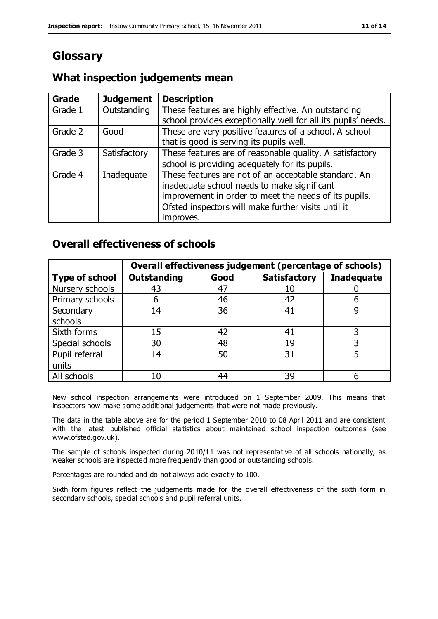# **Glossary**

## **What inspection judgements mean**

| Grade   | <b>Judgement</b> | <b>Description</b>                                                                                                                                                                                                               |
|---------|------------------|----------------------------------------------------------------------------------------------------------------------------------------------------------------------------------------------------------------------------------|
| Grade 1 | Outstanding      | These features are highly effective. An outstanding<br>school provides exceptionally well for all its pupils' needs.                                                                                                             |
| Grade 2 | Good             | These are very positive features of a school. A school<br>that is good is serving its pupils well.                                                                                                                               |
| Grade 3 | Satisfactory     | These features are of reasonable quality. A satisfactory<br>school is providing adequately for its pupils.                                                                                                                       |
| Grade 4 | Inadequate       | These features are not of an acceptable standard. An<br>inadequate school needs to make significant<br>improvement in order to meet the needs of its pupils.<br>Ofsted inspectors will make further visits until it<br>improves. |

### **Overall effectiveness of schools**

|                       |                    |      | Overall effectiveness judgement (percentage of schools) |                   |
|-----------------------|--------------------|------|---------------------------------------------------------|-------------------|
| <b>Type of school</b> | <b>Outstanding</b> | Good | <b>Satisfactory</b>                                     | <b>Inadequate</b> |
| Nursery schools       | 43                 | 47   |                                                         |                   |
| Primary schools       | h                  | 46   | 42                                                      |                   |
| Secondary             | 14                 | 36   | 41                                                      |                   |
| schools               |                    |      |                                                         |                   |
| Sixth forms           | 15                 | 42   | 41                                                      | 3                 |
| Special schools       | 30                 | 48   | 19                                                      |                   |
| Pupil referral        | 14                 | 50   | 31                                                      |                   |
| units                 |                    |      |                                                         |                   |
| All schools           | 10                 | 44   | 39                                                      |                   |

New school inspection arrangements were introduced on 1 September 2009. This means that inspectors now make some additional judgements that were not made previously.

The data in the table above are for the period 1 September 2010 to 08 April 2011 and are consistent with the latest published official statistics about maintained school inspection outcomes (see www.ofsted.gov.uk).

The sample of schools inspected during 2010/11 was not representative of all schools nationally, as weaker schools are inspected more frequently than good or outstanding schools.

Percentages are rounded and do not always add exactly to 100.

Sixth form figures reflect the judgements made for the overall effectiveness of the sixth form in secondary schools, special schools and pupil referral units.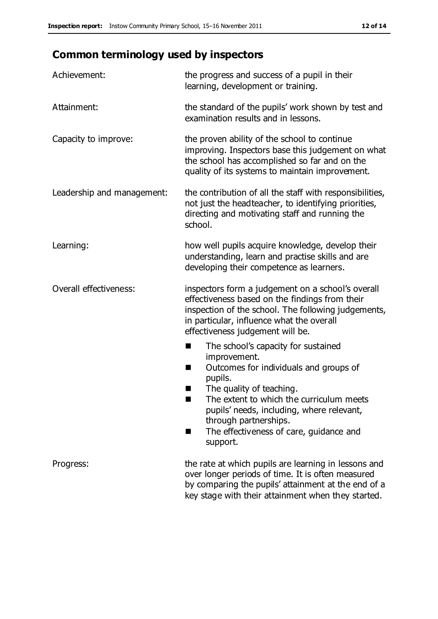# **Common terminology used by inspectors**

| Achievement:               | the progress and success of a pupil in their<br>learning, development or training.                                                                                                                                                                                                                                             |  |  |
|----------------------------|--------------------------------------------------------------------------------------------------------------------------------------------------------------------------------------------------------------------------------------------------------------------------------------------------------------------------------|--|--|
| Attainment:                | the standard of the pupils' work shown by test and<br>examination results and in lessons.                                                                                                                                                                                                                                      |  |  |
| Capacity to improve:       | the proven ability of the school to continue<br>improving. Inspectors base this judgement on what<br>the school has accomplished so far and on the<br>quality of its systems to maintain improvement.                                                                                                                          |  |  |
| Leadership and management: | the contribution of all the staff with responsibilities,<br>not just the headteacher, to identifying priorities,<br>directing and motivating staff and running the<br>school.                                                                                                                                                  |  |  |
| Learning:                  | how well pupils acquire knowledge, develop their<br>understanding, learn and practise skills and are<br>developing their competence as learners.                                                                                                                                                                               |  |  |
| Overall effectiveness:     | inspectors form a judgement on a school's overall<br>effectiveness based on the findings from their<br>inspection of the school. The following judgements,<br>in particular, influence what the overall<br>effectiveness judgement will be.                                                                                    |  |  |
|                            | The school's capacity for sustained<br>improvement.<br>Outcomes for individuals and groups of<br>ш<br>pupils.<br>The quality of teaching.<br>The extent to which the curriculum meets<br>a s<br>pupils' needs, including, where relevant,<br>through partnerships.<br>The effectiveness of care, guidance and<br>■<br>support. |  |  |
| Progress:                  | the rate at which pupils are learning in lessons and<br>over longer periods of time. It is often measured<br>by comparing the pupils' attainment at the end of a<br>key stage with their attainment when they started.                                                                                                         |  |  |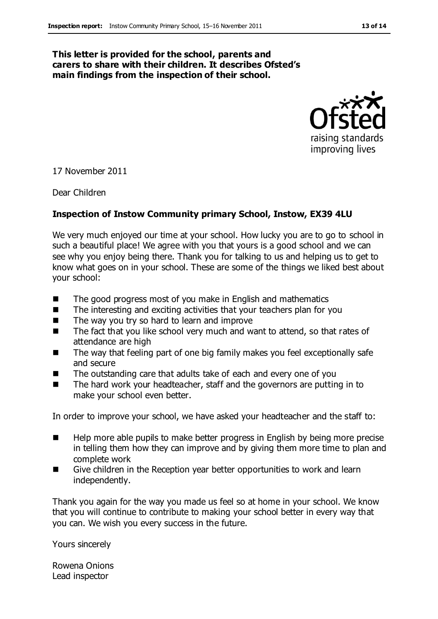#### **This letter is provided for the school, parents and carers to share with their children. It describes Ofsted's main findings from the inspection of their school.**



17 November 2011

Dear Children

#### **Inspection of Instow Community primary School, Instow, EX39 4LU**

We very much enjoyed our time at your school. How lucky you are to go to school in such a beautiful place! We agree with you that yours is a good school and we can see why you enjoy being there. Thank you for talking to us and helping us to get to know what goes on in your school. These are some of the things we liked best about your school:

- $\blacksquare$  The good progress most of you make in English and mathematics
- The interesting and exciting activities that your teachers plan for you
- $\blacksquare$  The way you try so hard to learn and improve
- The fact that you like school very much and want to attend, so that rates of attendance are high
- The way that feeling part of one big family makes you feel exceptionally safe and secure
- The outstanding care that adults take of each and every one of you
- The hard work your headteacher, staff and the governors are putting in to make your school even better.

In order to improve your school, we have asked your headteacher and the staff to:

- Help more able pupils to make better progress in English by being more precise in telling them how they can improve and by giving them more time to plan and complete work
- Give children in the Reception year better opportunities to work and learn independently.

Thank you again for the way you made us feel so at home in your school. We know that you will continue to contribute to making your school better in every way that you can. We wish you every success in the future.

Yours sincerely

Rowena Onions Lead inspector